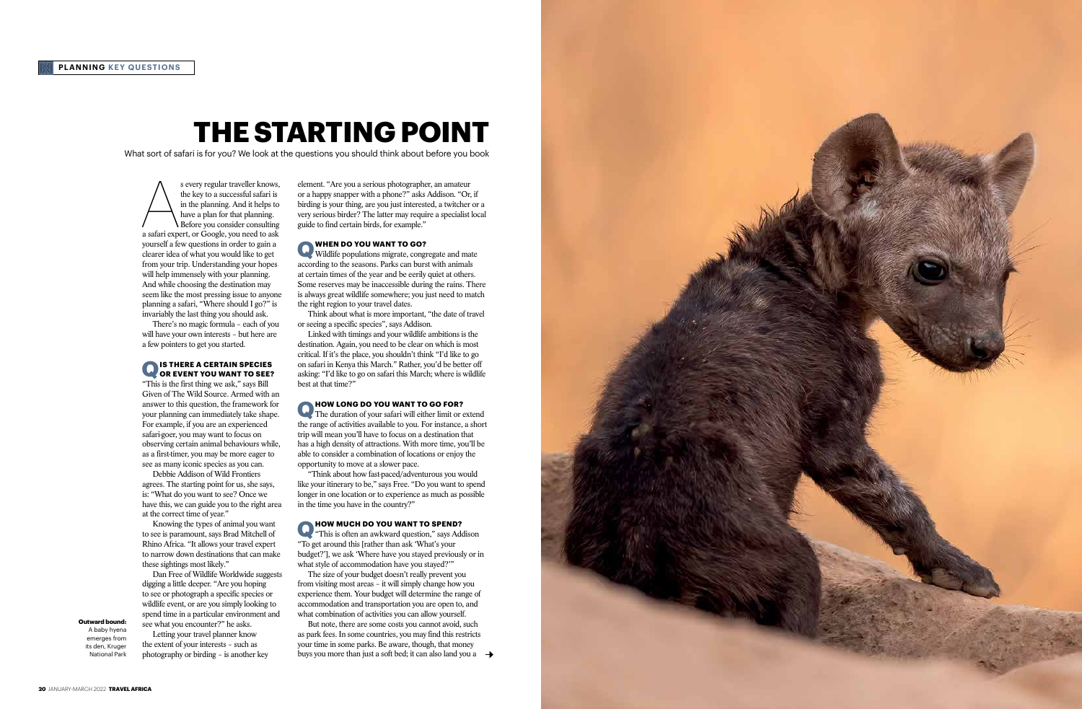# **THE STARTING POINT**

What sort of safari is for you? We look at the questions you should think about before you book

**Outward bound:**  A baby hyena emerges from

its den, Kruger National Park

element. "Are you a serious photographer, an amateur or a happy snapper with a phone?" asks Addison. "Or, if birding is your thing, are you just interested, a twitcher or a very serious birder? The latter may require a specialist local guide to find certain birds, for example."

**Q WHEN DO YOU WANT TO GO?**<br>Wildlife populations migrate, congregate and mate according to the seasons. Parks can burst with animals at certain times of the year and be eerily quiet at others. Some reserves may be inaccessible during the rains. There is always great wildlife somewhere; you just need to match the right region to your travel dates.

**Q HOW LONG DO YOU WANT TO GO FOR?**<br>The duration of your safari will either limit or extend the range of activities available to you. For instance, a short trip will mean you'll have to focus on a destination that has a high density of attractions. With more time, you'll be able to consider a combination of locations or enjoy the opportunity to move at a slower pace.

Think about what is more important, "the date of travel or seeing a specific species", says Addison.

**Q HOW MUCH DO YOU WANT TO SPEND?**<br>
"This is often an awkward question," says Addison "To get around this [rather than ask 'What's your budget?'], we ask 'Where have you stayed previously or in what style of accommodation have you stayed?'"

Linked with timings and your wildlife ambitions is the destination. Again, you need to be clear on which is most critical. If it's the place, you shouldn't think "I'd like to go on safari in Kenya this March." Rather, you'd be better off asking: "I'd like to go on safari this March; where is wildlife best at that time?"

But note, there are some costs you cannot avoid, such as park fees. In some countries, you may find this restricts your time in some parks. Be aware, though, that money buys you more than just a soft bed; it can also land you a  $\rightarrow$ 



s every regular traveller knows,<br>the key to a successful safari is<br>in the planning. And it helps to<br>have a plan for that planning.<br>Before you consider consulting<br>a safari expert, or Google, you need to ask the key to a successful safari is in the planning. And it helps to have a plan for that planning. Before you consider consulting yourself a few questions in order to gain a clearer idea of what you would like to get from your trip. Understanding your hopes will help immensely with your planning. And while choosing the destination may seem like the most pressing issue to anyone planning a safari, "Where should I go?" is invariably the last thing you should ask.

> "Think about how fast-paced/adventurous you would like your itinerary to be," says Free. "Do you want to spend longer in one location or to experience as much as possible in the time you have in the country?"

The size of your budget doesn't really prevent you from visiting most areas – it will simply change how you experience them. Your budget will determine the range of accommodation and transportation you are open to, and what combination of activities you can allow yourself.

There's no magic formula – each of you will have your own interests – but here are a few pointers to get you started.

## **Q IS THERE A CERTAIN SPECIES OR EVENT YOU WANT TO SEE?**

"This is the first thing we ask," says Bill Given of The Wild Source. Armed with an answer to this question, the framework for your planning can immediately take shape. For example, if you are an experienced safari-goer, you may want to focus on observing certain animal behaviours while, as a first-timer, you may be more eager to see as many iconic species as you can.

Debbie Addison of Wild Frontiers agrees. The starting point for us, she says, is: "What do you want to see? Once we have this, we can guide you to the right area at the correct time of year."

Knowing the types of animal you want to see is paramount, says Brad Mitchell of Rhino Africa. "It allows your travel expert to narrow down destinations that can make these sightings most likely."

Dan Free of Wildlife Worldwide suggests digging a little deeper. "Are you hoping to see or photograph a specific species or wildlife event, or are you simply looking to spend time in a particular environment and see what you encounter?" he asks.

Letting your travel planner know the extent of your interests – such as photography or birding – is another key